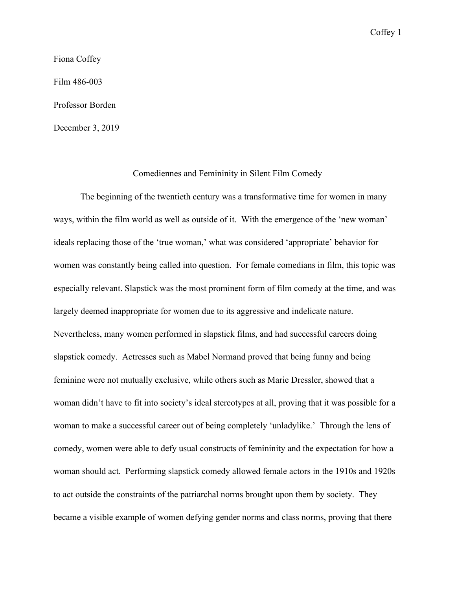Fiona Coffey

Film 486-003

Professor Borden

December 3, 2019

## Comediennes and Femininity in Silent Film Comedy

The beginning of the twentieth century was a transformative time for women in many ways, within the film world as well as outside of it. With the emergence of the 'new woman' ideals replacing those of the 'true woman,' what was considered 'appropriate' behavior for women was constantly being called into question. For female comedians in film, this topic was especially relevant. Slapstick was the most prominent form of film comedy at the time, and was largely deemed inappropriate for women due to its aggressive and indelicate nature. Nevertheless, many women performed in slapstick films, and had successful careers doing slapstick comedy. Actresses such as Mabel Normand proved that being funny and being feminine were not mutually exclusive, while others such as Marie Dressler, showed that a woman didn't have to fit into society's ideal stereotypes at all, proving that it was possible for a woman to make a successful career out of being completely 'unladylike.' Through the lens of comedy, women were able to defy usual constructs of femininity and the expectation for how a woman should act. Performing slapstick comedy allowed female actors in the 1910s and 1920s to act outside the constraints of the patriarchal norms brought upon them by society. They became a visible example of women defying gender norms and class norms, proving that there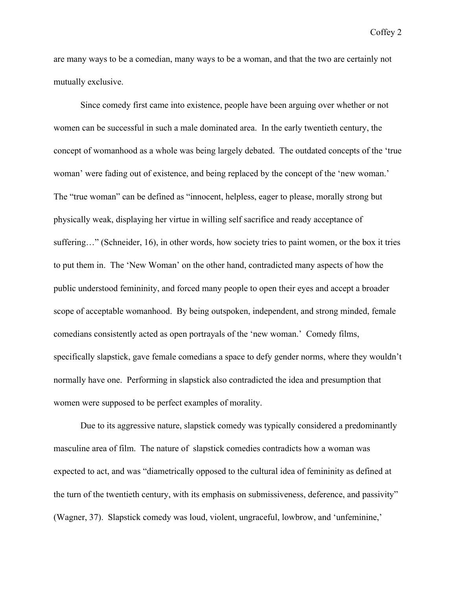are many ways to be a comedian, many ways to be a woman, and that the two are certainly not mutually exclusive.

Since comedy first came into existence, people have been arguing over whether or not women can be successful in such a male dominated area. In the early twentieth century, the concept of womanhood as a whole was being largely debated. The outdated concepts of the 'true woman' were fading out of existence, and being replaced by the concept of the 'new woman.' The "true woman" can be defined as "innocent, helpless, eager to please, morally strong but physically weak, displaying her virtue in willing self sacrifice and ready acceptance of suffering…" (Schneider, 16), in other words, how society tries to paint women, or the box it tries to put them in. The 'New Woman' on the other hand, contradicted many aspects of how the public understood femininity, and forced many people to open their eyes and accept a broader scope of acceptable womanhood. By being outspoken, independent, and strong minded, female comedians consistently acted as open portrayals of the 'new woman.' Comedy films, specifically slapstick, gave female comedians a space to defy gender norms, where they wouldn't normally have one. Performing in slapstick also contradicted the idea and presumption that women were supposed to be perfect examples of morality.

Due to its aggressive nature, slapstick comedy was typically considered a predominantly masculine area of film. The nature of slapstick comedies contradicts how a woman was expected to act, and was "diametrically opposed to the cultural idea of femininity as defined at the turn of the twentieth century, with its emphasis on submissiveness, deference, and passivity" (Wagner, 37). Slapstick comedy was loud, violent, ungraceful, lowbrow, and 'unfeminine,'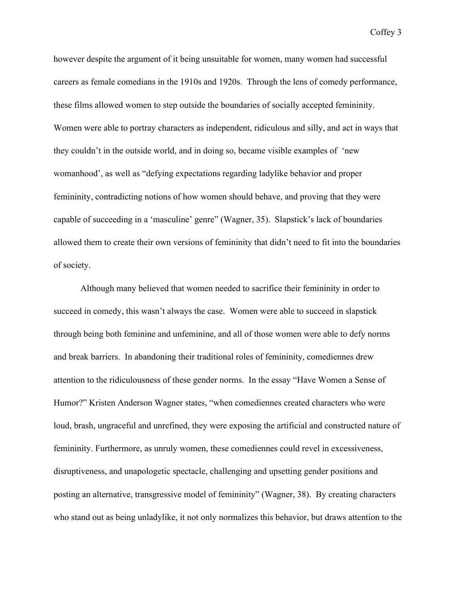however despite the argument of it being unsuitable for women, many women had successful careers as female comedians in the 1910s and 1920s. Through the lens of comedy performance, these films allowed women to step outside the boundaries of socially accepted femininity. Women were able to portray characters as independent, ridiculous and silly, and act in ways that they couldn't in the outside world, and in doing so, became visible examples of 'new womanhood', as well as "defying expectations regarding ladylike behavior and proper femininity, contradicting notions of how women should behave, and proving that they were capable of succeeding in a 'masculine' genre" (Wagner, 35). Slapstick's lack of boundaries allowed them to create their own versions of femininity that didn't need to fit into the boundaries of society.

Although many believed that women needed to sacrifice their femininity in order to succeed in comedy, this wasn't always the case. Women were able to succeed in slapstick through being both feminine and unfeminine, and all of those women were able to defy norms and break barriers. In abandoning their traditional roles of femininity, comediennes drew attention to the ridiculousness of these gender norms. In the essay "Have Women a Sense of Humor?" Kristen Anderson Wagner states, "when comediennes created characters who were loud, brash, ungraceful and unrefined, they were exposing the artificial and constructed nature of femininity. Furthermore, as unruly women, these comediennes could revel in excessiveness, disruptiveness, and unapologetic spectacle, challenging and upsetting gender positions and posting an alternative, transgressive model of femininity" (Wagner, 38). By creating characters who stand out as being unladylike, it not only normalizes this behavior, but draws attention to the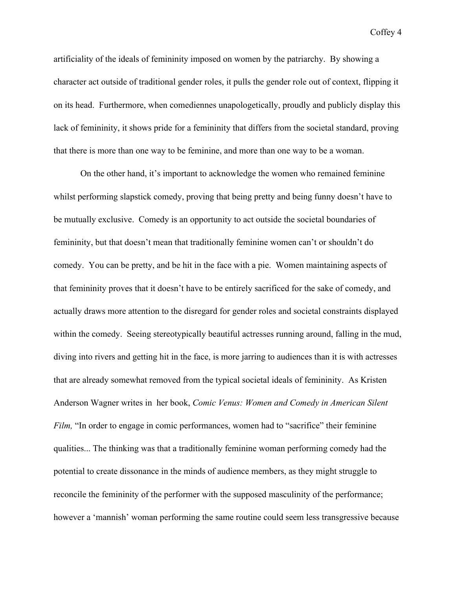artificiality of the ideals of femininity imposed on women by the patriarchy. By showing a character act outside of traditional gender roles, it pulls the gender role out of context, flipping it on its head. Furthermore, when comediennes unapologetically, proudly and publicly display this lack of femininity, it shows pride for a femininity that differs from the societal standard, proving that there is more than one way to be feminine, and more than one way to be a woman.

On the other hand, it's important to acknowledge the women who remained feminine whilst performing slapstick comedy, proving that being pretty and being funny doesn't have to be mutually exclusive. Comedy is an opportunity to act outside the societal boundaries of femininity, but that doesn't mean that traditionally feminine women can't or shouldn't do comedy. You can be pretty, and be hit in the face with a pie. Women maintaining aspects of that femininity proves that it doesn't have to be entirely sacrificed for the sake of comedy, and actually draws more attention to the disregard for gender roles and societal constraints displayed within the comedy. Seeing stereotypically beautiful actresses running around, falling in the mud, diving into rivers and getting hit in the face, is more jarring to audiences than it is with actresses that are already somewhat removed from the typical societal ideals of femininity. As Kristen Anderson Wagner writes in her book, *Comic Venus: Women and Comedy in American Silent Film,* "In order to engage in comic performances, women had to "sacrifice" their feminine qualities... The thinking was that a traditionally feminine woman performing comedy had the potential to create dissonance in the minds of audience members, as they might struggle to reconcile the femininity of the performer with the supposed masculinity of the performance; however a 'mannish' woman performing the same routine could seem less transgressive because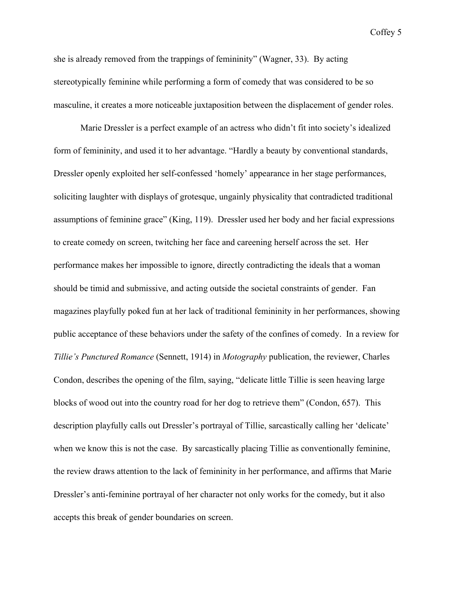she is already removed from the trappings of femininity" (Wagner, 33). By acting stereotypically feminine while performing a form of comedy that was considered to be so masculine, it creates a more noticeable juxtaposition between the displacement of gender roles.

Marie Dressler is a perfect example of an actress who didn't fit into society's idealized form of femininity, and used it to her advantage. "Hardly a beauty by conventional standards, Dressler openly exploited her self-confessed 'homely' appearance in her stage performances, soliciting laughter with displays of grotesque, ungainly physicality that contradicted traditional assumptions of feminine grace" (King, 119). Dressler used her body and her facial expressions to create comedy on screen, twitching her face and careening herself across the set. Her performance makes her impossible to ignore, directly contradicting the ideals that a woman should be timid and submissive, and acting outside the societal constraints of gender. Fan magazines playfully poked fun at her lack of traditional femininity in her performances, showing public acceptance of these behaviors under the safety of the confines of comedy. In a review for *Tillie's Punctured Romance* (Sennett, 1914) in *Motography* publication, the reviewer, Charles Condon, describes the opening of the film, saying, "delicate little Tillie is seen heaving large blocks of wood out into the country road for her dog to retrieve them" (Condon, 657). This description playfully calls out Dressler's portrayal of Tillie, sarcastically calling her 'delicate' when we know this is not the case. By sarcastically placing Tillie as conventionally feminine, the review draws attention to the lack of femininity in her performance, and affirms that Marie Dressler's anti-feminine portrayal of her character not only works for the comedy, but it also accepts this break of gender boundaries on screen.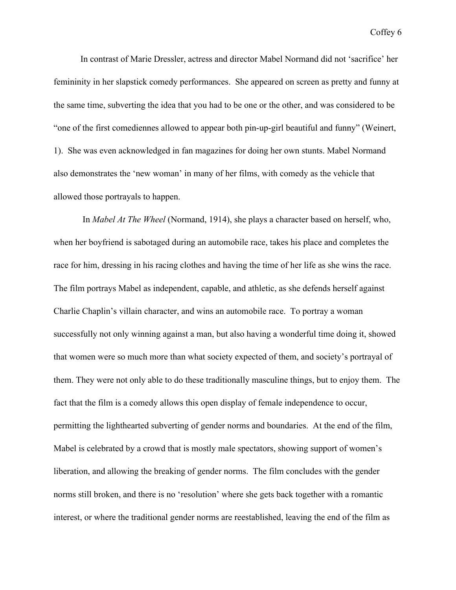In contrast of Marie Dressler, actress and director Mabel Normand did not 'sacrifice' her femininity in her slapstick comedy performances. She appeared on screen as pretty and funny at the same time, subverting the idea that you had to be one or the other, and was considered to be "one of the first comediennes allowed to appear both pin-up-girl beautiful and funny" (Weinert, 1). She was even acknowledged in fan magazines for doing her own stunts. Mabel Normand also demonstrates the 'new woman' in many of her films, with comedy as the vehicle that allowed those portrayals to happen.

 In *Mabel At The Wheel* (Normand, 1914), she plays a character based on herself, who, when her boyfriend is sabotaged during an automobile race, takes his place and completes the race for him, dressing in his racing clothes and having the time of her life as she wins the race. The film portrays Mabel as independent, capable, and athletic, as she defends herself against Charlie Chaplin's villain character, and wins an automobile race. To portray a woman successfully not only winning against a man, but also having a wonderful time doing it, showed that women were so much more than what society expected of them, and society's portrayal of them. They were not only able to do these traditionally masculine things, but to enjoy them. The fact that the film is a comedy allows this open display of female independence to occur, permitting the lighthearted subverting of gender norms and boundaries. At the end of the film, Mabel is celebrated by a crowd that is mostly male spectators, showing support of women's liberation, and allowing the breaking of gender norms. The film concludes with the gender norms still broken, and there is no 'resolution' where she gets back together with a romantic interest, or where the traditional gender norms are reestablished, leaving the end of the film as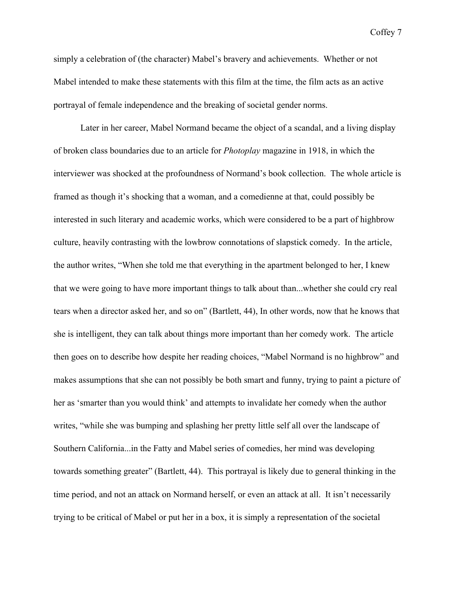simply a celebration of (the character) Mabel's bravery and achievements. Whether or not Mabel intended to make these statements with this film at the time, the film acts as an active portrayal of female independence and the breaking of societal gender norms.

Later in her career, Mabel Normand became the object of a scandal, and a living display of broken class boundaries due to an article for *Photoplay* magazine in 1918, in which the interviewer was shocked at the profoundness of Normand's book collection. The whole article is framed as though it's shocking that a woman, and a comedienne at that, could possibly be interested in such literary and academic works, which were considered to be a part of highbrow culture, heavily contrasting with the lowbrow connotations of slapstick comedy. In the article, the author writes, "When she told me that everything in the apartment belonged to her, I knew that we were going to have more important things to talk about than...whether she could cry real tears when a director asked her, and so on" (Bartlett, 44), In other words, now that he knows that she is intelligent, they can talk about things more important than her comedy work. The article then goes on to describe how despite her reading choices, "Mabel Normand is no highbrow" and makes assumptions that she can not possibly be both smart and funny, trying to paint a picture of her as 'smarter than you would think' and attempts to invalidate her comedy when the author writes, "while she was bumping and splashing her pretty little self all over the landscape of Southern California...in the Fatty and Mabel series of comedies, her mind was developing towards something greater" (Bartlett, 44). This portrayal is likely due to general thinking in the time period, and not an attack on Normand herself, or even an attack at all. It isn't necessarily trying to be critical of Mabel or put her in a box, it is simply a representation of the societal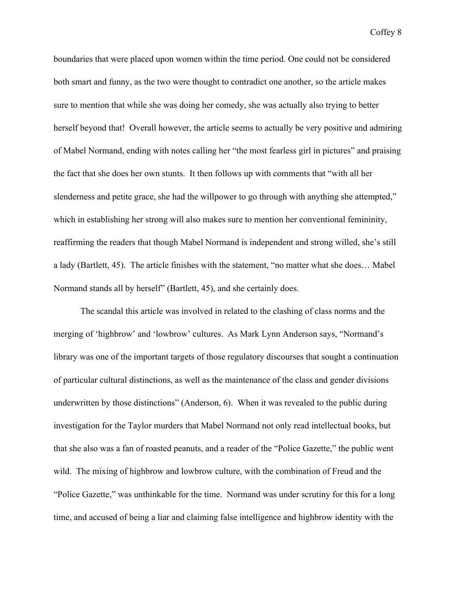boundaries that were placed upon women within the time period. One could not be considered both smart and funny, as the two were thought to contradict one another, so the article makes sure to mention that while she was doing her comedy, she was actually also trying to better herself beyond that! Overall however, the article seems to actually be very positive and admiring of Mabel Normand, ending with notes calling her "the most fearless girl in pictures" and praising the fact that she does her own stunts. It then follows up with comments that "with all her slenderness and petite grace, she had the willpower to go through with anything she attempted," which in establishing her strong will also makes sure to mention her conventional femininity, reaffirming the readers that though Mabel Normand is independent and strong willed, she's still a lady (Bartlett, 45). The article finishes with the statement, "no matter what she does… Mabel Normand stands all by herself" (Bartlett, 45), and she certainly does.

The scandal this article was involved in related to the clashing of class norms and the merging of 'highbrow' and 'lowbrow' cultures. As Mark Lynn Anderson says, "Normand's library was one of the important targets of those regulatory discourses that sought a continuation of particular cultural distinctions, as well as the maintenance of the class and gender divisions underwritten by those distinctions" (Anderson, 6). When it was revealed to the public during investigation for the Taylor murders that Mabel Normand not only read intellectual books, but that she also was a fan of roasted peanuts, and a reader of the "Police Gazette," the public went wild. The mixing of highbrow and lowbrow culture, with the combination of Freud and the "Police Gazette," was unthinkable for the time. Normand was under scrutiny for this for a long time, and accused of being a liar and claiming false intelligence and highbrow identity with the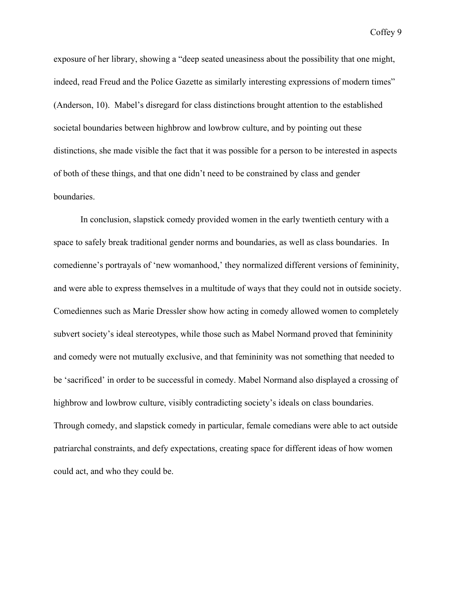exposure of her library, showing a "deep seated uneasiness about the possibility that one might, indeed, read Freud and the Police Gazette as similarly interesting expressions of modern times" (Anderson, 10). Mabel's disregard for class distinctions brought attention to the established societal boundaries between highbrow and lowbrow culture, and by pointing out these distinctions, she made visible the fact that it was possible for a person to be interested in aspects of both of these things, and that one didn't need to be constrained by class and gender boundaries.

In conclusion, slapstick comedy provided women in the early twentieth century with a space to safely break traditional gender norms and boundaries, as well as class boundaries. In comedienne's portrayals of 'new womanhood,' they normalized different versions of femininity, and were able to express themselves in a multitude of ways that they could not in outside society. Comediennes such as Marie Dressler show how acting in comedy allowed women to completely subvert society's ideal stereotypes, while those such as Mabel Normand proved that femininity and comedy were not mutually exclusive, and that femininity was not something that needed to be 'sacrificed' in order to be successful in comedy. Mabel Normand also displayed a crossing of highbrow and lowbrow culture, visibly contradicting society's ideals on class boundaries. Through comedy, and slapstick comedy in particular, female comedians were able to act outside patriarchal constraints, and defy expectations, creating space for different ideas of how women could act, and who they could be.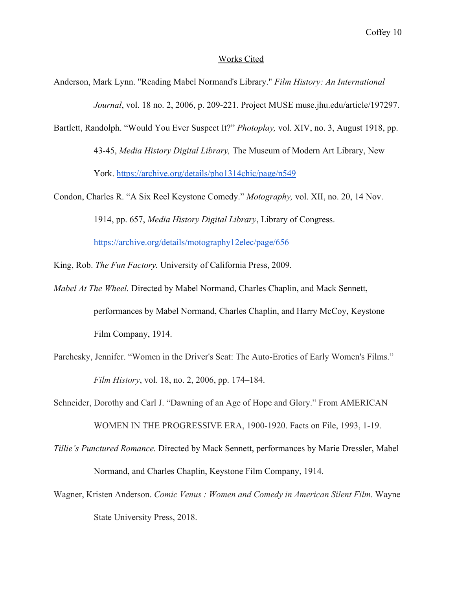## Works Cited

Anderson, Mark Lynn. "Reading Mabel Normand's Library." *Film History: An International Journal*, vol. 18 no. 2, 2006, p. 209-221. Project MUSE muse.jhu.edu/article/197297.

Bartlett, Randolph. "Would You Ever Suspect It?" *Photoplay,* vol. XIV, no. 3, August 1918, pp.

43-45, *Media History Digital Library,* The Museum of Modern Art Library, New

York. <https://archive.org/details/pho1314chic/page/n549>

Condon, Charles R. "A Six Reel Keystone Comedy." *Motography,* vol. XII, no. 20, 14 Nov. 1914, pp. 657, *Media History Digital Library*, Library of Congress.

<https://archive.org/details/motography12elec/page/656>

King, Rob. *The Fun Factory.* University of California Press, 2009.

- *Mabel At The Wheel.* Directed by Mabel Normand, Charles Chaplin, and Mack Sennett, performances by Mabel Normand, Charles Chaplin, and Harry McCoy, Keystone Film Company, 1914.
- Parchesky, Jennifer. "Women in the Driver's Seat: The Auto-Erotics of Early Women's Films." *Film History*, vol. 18, no. 2, 2006, pp. 174–184.

Schneider, Dorothy and Carl J. "Dawning of an Age of Hope and Glory." From AMERICAN

WOMEN IN THE PROGRESSIVE ERA, 1900-1920. Facts on File, 1993, 1-19.

- *Tillie's Punctured Romance.* Directed by Mack Sennett, performances by Marie Dressler, Mabel Normand, and Charles Chaplin, Keystone Film Company, 1914.
- Wagner, Kristen Anderson. *Comic Venus : Women and Comedy in American Silent Film*. Wayne State University Press, 2018.